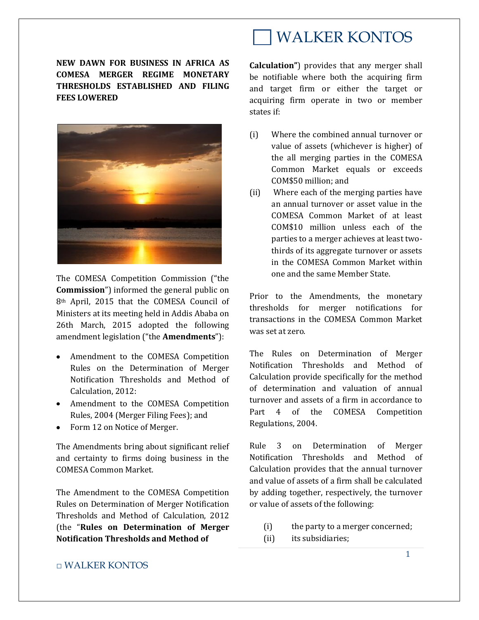**NEW DAWN FOR BUSINESS IN AFRICA AS COMESA MERGER REGIME MONETARY THRESHOLDS ESTABLISHED AND FILING FEES LOWERED**



The COMESA Competition Commission ("the **Commission**") informed the general public on 8th April, 2015 that the COMESA Council of Ministers at its meeting held in Addis Ababa on 26th March, 2015 adopted the following amendment legislation ("the **Amendments**"):

- Amendment to the COMESA Competition Rules on the Determination of Merger Notification Thresholds and Method of Calculation, 2012:
- Amendment to the COMESA Competition Rules, 2004 (Merger Filing Fees); and
- Form 12 on Notice of Merger.

The Amendments bring about significant relief and certainty to firms doing business in the COMESA Common Market.

The Amendment to the COMESA Competition Rules on Determination of Merger Notification Thresholds and Method of Calculation, 2012 (the "**Rules on Determination of Merger Notification Thresholds and Method of** 

## WALKER KONTOS

**Calculation"**) provides that any merger shall be notifiable where both the acquiring firm and target firm or either the target or acquiring firm operate in two or member states if:

- (i) Where the combined annual turnover or value of assets (whichever is higher) of the all merging parties in the COMESA Common Market equals or exceeds COM\$50 million; and
- (ii) Where each of the merging parties have an annual turnover or asset value in the COMESA Common Market of at least COM\$10 million unless each of the parties to a merger achieves at least twothirds of its aggregate turnover or assets in the COMESA Common Market within one and the same Member State.

Prior to the Amendments, the monetary thresholds for merger notifications for transactions in the COMESA Common Market was set at zero.

The Rules on Determination of Merger Notification Thresholds and Method of Calculation provide specifically for the method of determination and valuation of annual turnover and assets of a firm in accordance to Part 4 of the COMESA Competition Regulations, 2004.

Rule 3 on Determination of Merger Notification Thresholds and Method of Calculation provides that the annual turnover and value of assets of a firm shall be calculated by adding together, respectively, the turnover or value of assets of the following:

- (i) the party to a merger concerned;
- (ii) its subsidiaries;

## □ WALKER KONTOS